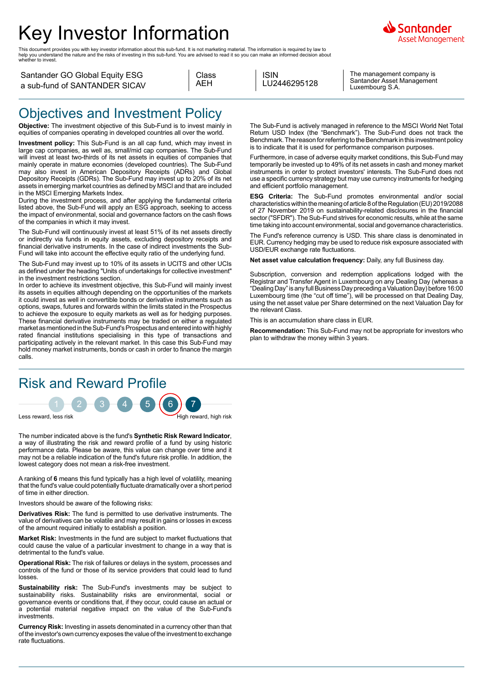# Key Investor Information

This document provides you with key investor information about this sub-fund. It is not marketing material. The information is required by law to<br>help you understand the nature and the risks of investing in this sub-fund.



Santander GO Global Equity ESG a sub-fund of SANTANDER SICAV

| Class |
|-------|
| AFH   |
|       |

ISIN LU2446295128

The management company is Santander Asset Management Luxembourg S.A.

#### Objectives and Investment Policy

**Objective:** The investment objective of this Sub-Fund is to invest mainly in equities of companies operating in developed countries all over the world.

**Investment policy:** This Sub-Fund is an all cap fund, which may invest in large cap companies, as well as, small/mid cap companies. The Sub-Fund will invest at least two-thirds of its net assets in equities of companies that mainly operate in mature economies (developed countries). The Sub-Fund may also invest in American Depository Receipts (ADRs) and Global Depository Receipts (GDRs). The Sub-Fund may invest up to 20% of its net assets in emerging market countries as defined by MSCI and that are included in the MSCI Emerging Markets Index.

During the investment process, and after applying the fundamental criteria listed above, the Sub-Fund will apply an ESG approach, seeking to access the impact of environmental, social and governance factors on the cash flows of the companies in which it may invest.

The Sub-Fund will continuously invest at least 51% of its net assets directly or indirectly via funds in equity assets, excluding depository receipts and financial derivative instruments. In the case of indirect investments the Sub-Fund will take into account the effective equity ratio of the underlying fund.

The Sub-Fund may invest up to 10% of its assets in UCITS and other UCIs as defined under the heading "Units of undertakings for collective investment" in the investment restrictions section.

In order to achieve its investment objective, this Sub-Fund will mainly invest its assets in equities although depending on the opportunities of the markets it could invest as well in convertible bonds or derivative instruments such as options, swaps, futures and forwards within the limits stated in the Prospectus to achieve the exposure to equity markets as well as for hedging purposes. These financial derivative instruments may be traded on either a regulated market as mentioned in the Sub-Fund's Prospectus and entered into with highly rated financial institutions specialising in this type of transactions and participating actively in the relevant market. In this case this Sub-Fund may hold money market instruments, bonds or cash in order to finance the margin calls.

## Risk and Reward Profile



The number indicated above is the fund's **Synthetic Risk Reward Indicator**, a way of illustrating the risk and reward profile of a fund by using historic performance data. Please be aware, this value can change over time and it may not be a reliable indication of the fund's future risk profile. In addition, the lowest category does not mean a risk-free investment.

A ranking of **6** means this fund typically has a high level of volatility, meaning that the fund's value could potentially fluctuate dramatically over a short period of time in either direction.

Investors should be aware of the following risks:

**Derivatives Risk:** The fund is permitted to use derivative instruments. The value of derivatives can be volatile and may result in gains or losses in excess of the amount required initially to establish a position.

**Market Risk:** Investments in the fund are subject to market fluctuations that could cause the value of a particular investment to change in a way that is detrimental to the fund's value.

**Operational Risk:** The risk of failures or delays in the system, processes and controls of the fund or those of its service providers that could lead to fund losses.

**Sustainability risk:** The Sub-Fund's investments may be subject to sustainability risks. Sustainability risks are environmental, social or governance events or conditions that, if they occur, could cause an actual or a potential material negative impact on the value of the Sub-Fund's investments.

**Currency Risk:** Investing in assets denominated in a currency other than that of the investor's own currency exposes the value of the investment to exchange rate fluctuations.

The Sub-Fund is actively managed in reference to the MSCI World Net Total Return USD Index (the "Benchmark"). The Sub-Fund does not track the Benchmark. The reason for referring to the Benchmark in this investment policy is to indicate that it is used for performance comparison purposes.

Furthermore, in case of adverse equity market conditions, this Sub-Fund may temporarily be invested up to 49% of its net assets in cash and money market instruments in order to protect investors' interests. The Sub-Fund does not use a specific currency strategy but may use currency instruments for hedging and efficient portfolio management.

**ESG Criteria:** The Sub-Fund promotes environmental and/or social characteristics within the meaning of article 8 of the Regulation (EU) 2019/2088 of 27 November 2019 on sustainability-related disclosures in the financial sector ("SFDR"). The Sub-Fund strives for economic results, while at the same time taking into account environmental, social and governance characteristics.

The Fund's reference currency is USD. This share class is denominated in EUR. Currency hedging may be used to reduce risk exposure associated with USD/EUR exchange rate fluctuations.

**Net asset value calculation frequency:** Daily, any full Business day.

Subscription, conversion and redemption applications lodged with the Registrar and Transfer Agent in Luxembourg on any Dealing Day (whereas a "Dealing Day" is any full Business Day preceding a Valuation Day) before 16:00 Luxembourg time (the "cut off time"), will be processed on that Dealing Day, using the net asset value per Share determined on the next Valuation Day for the relevant Class.

This is an accumulation share class in EUR.

**Recommendation:** This Sub-Fund may not be appropriate for investors who plan to withdraw the money within 3 years.